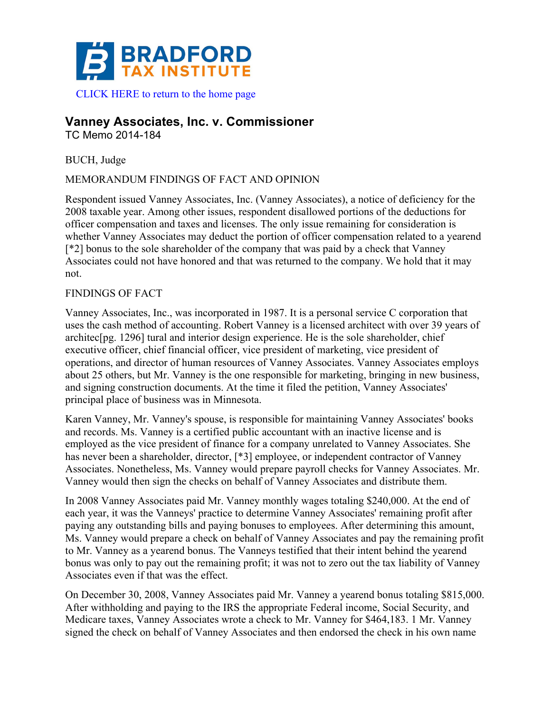

# **Vanney Associates, Inc. v. Commissioner**

TC Memo 2014-184

BUCH, Judge

MEMORANDUM FINDINGS OF FACT AND OPINION

Respondent issued Vanney Associates, Inc. (Vanney Associates), a notice of deficiency for the 2008 taxable year. Among other issues, respondent disallowed portions of the deductions for officer compensation and taxes and licenses. The only issue remaining for consideration is whether Vanney Associates may deduct the portion of officer compensation related to a yearend [\*2] bonus to the sole shareholder of the company that was paid by a check that Vanney Associates could not have honored and that was returned to the company. We hold that it may not.

# FINDINGS OF FACT

Vanney Associates, Inc., was incorporated in 1987. It is a personal service C corporation that uses the cash method of accounting. Robert Vanney is a licensed architect with over 39 years of architec[pg. 1296] tural and interior design experience. He is the sole shareholder, chief executive officer, chief financial officer, vice president of marketing, vice president of operations, and director of human resources of Vanney Associates. Vanney Associates employs about 25 others, but Mr. Vanney is the one responsible for marketing, bringing in new business, and signing construction documents. At the time it filed the petition, Vanney Associates' principal place of business was in Minnesota.

Karen Vanney, Mr. Vanney's spouse, is responsible for maintaining Vanney Associates' books and records. Ms. Vanney is a certified public accountant with an inactive license and is employed as the vice president of finance for a company unrelated to Vanney Associates. She has never been a shareholder, director, [\*3] employee, or independent contractor of Vanney Associates. Nonetheless, Ms. Vanney would prepare payroll checks for Vanney Associates. Mr. Vanney would then sign the checks on behalf of Vanney Associates and distribute them.

In 2008 Vanney Associates paid Mr. Vanney monthly wages totaling \$240,000. At the end of each year, it was the Vanneys' practice to determine Vanney Associates' remaining profit after paying any outstanding bills and paying bonuses to employees. After determining this amount, Ms. Vanney would prepare a check on behalf of Vanney Associates and pay the remaining profit to Mr. Vanney as a yearend bonus. The Vanneys testified that their intent behind the yearend bonus was only to pay out the remaining profit; it was not to zero out the tax liability of Vanney Associates even if that was the effect.

On December 30, 2008, Vanney Associates paid Mr. Vanney a yearend bonus totaling \$815,000. After withholding and paying to the IRS the appropriate Federal income, Social Security, and Medicare taxes, Vanney Associates wrote a check to Mr. Vanney for \$464,183. 1 Mr. Vanney signed the check on behalf of Vanney Associates and then endorsed the check in his own name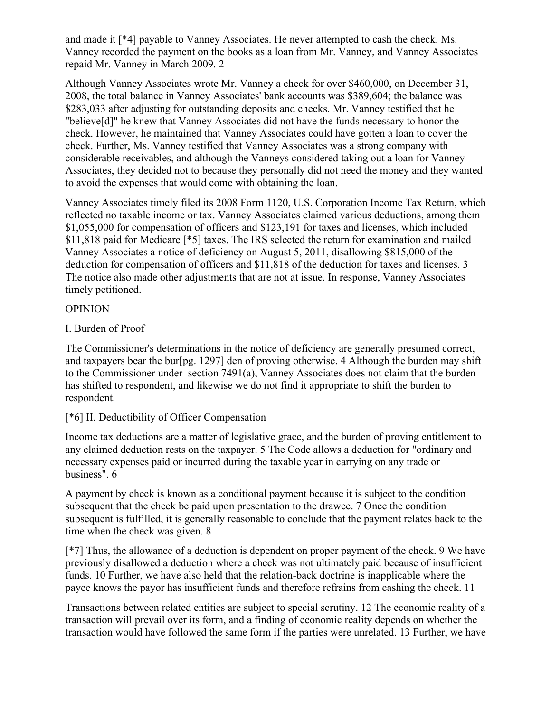and made it [\*4] payable to Vanney Associates. He never attempted to cash the check. Ms. Vanney recorded the payment on the books as a loan from Mr. Vanney, and Vanney Associates repaid Mr. Vanney in March 2009. 2

Although Vanney Associates wrote Mr. Vanney a check for over \$460,000, on December 31, 2008, the total balance in Vanney Associates' bank accounts was \$389,604; the balance was \$283,033 after adjusting for outstanding deposits and checks. Mr. Vanney testified that he "believe[d]" he knew that Vanney Associates did not have the funds necessary to honor the check. However, he maintained that Vanney Associates could have gotten a loan to cover the check. Further, Ms. Vanney testified that Vanney Associates was a strong company with considerable receivables, and although the Vanneys considered taking out a loan for Vanney Associates, they decided not to because they personally did not need the money and they wanted to avoid the expenses that would come with obtaining the loan.

Vanney Associates timely filed its 2008 Form 1120, U.S. Corporation Income Tax Return, which reflected no taxable income or tax. Vanney Associates claimed various deductions, among them \$1,055,000 for compensation of officers and \$123,191 for taxes and licenses, which included \$11,818 paid for Medicare [\*5] taxes. The IRS selected the return for examination and mailed Vanney Associates a notice of deficiency on August 5, 2011, disallowing \$815,000 of the deduction for compensation of officers and \$11,818 of the deduction for taxes and licenses. 3 The notice also made other adjustments that are not at issue. In response, Vanney Associates timely petitioned.

# OPINION

### I. Burden of Proof

The Commissioner's determinations in the notice of deficiency are generally presumed correct, and taxpayers bear the bur[pg. 1297] den of proving otherwise. 4 Although the burden may shift to the Commissioner under section 7491(a), Vanney Associates does not claim that the burden has shifted to respondent, and likewise we do not find it appropriate to shift the burden to respondent.

# [\*6] II. Deductibility of Officer Compensation

Income tax deductions are a matter of legislative grace, and the burden of proving entitlement to any claimed deduction rests on the taxpayer. 5 The Code allows a deduction for "ordinary and necessary expenses paid or incurred during the taxable year in carrying on any trade or business". 6

A payment by check is known as a conditional payment because it is subject to the condition subsequent that the check be paid upon presentation to the drawee. 7 Once the condition subsequent is fulfilled, it is generally reasonable to conclude that the payment relates back to the time when the check was given. 8

[\*7] Thus, the allowance of a deduction is dependent on proper payment of the check. 9 We have previously disallowed a deduction where a check was not ultimately paid because of insufficient funds. 10 Further, we have also held that the relation-back doctrine is inapplicable where the payee knows the payor has insufficient funds and therefore refrains from cashing the check. 11

Transactions between related entities are subject to special scrutiny. 12 The economic reality of a transaction will prevail over its form, and a finding of economic reality depends on whether the transaction would have followed the same form if the parties were unrelated. 13 Further, we have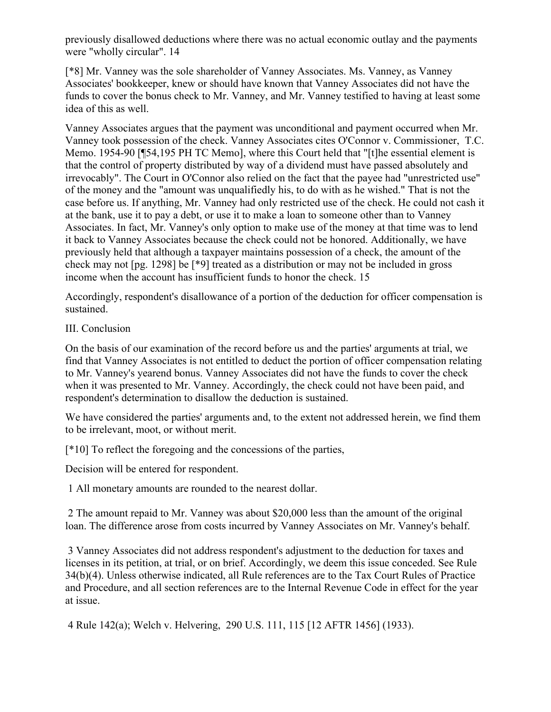previously disallowed deductions where there was no actual economic outlay and the payments were "wholly circular". 14

[\*8] Mr. Vanney was the sole shareholder of Vanney Associates. Ms. Vanney, as Vanney Associates' bookkeeper, knew or should have known that Vanney Associates did not have the funds to cover the bonus check to Mr. Vanney, and Mr. Vanney testified to having at least some idea of this as well.

Vanney Associates argues that the payment was unconditional and payment occurred when Mr. Vanney took possession of the check. Vanney Associates cites O'Connor v. Commissioner, T.C. Memo. 1954-90 [¶54,195 PH TC Memo], where this Court held that "[t]he essential element is that the control of property distributed by way of a dividend must have passed absolutely and irrevocably". The Court in O'Connor also relied on the fact that the payee had "unrestricted use" of the money and the "amount was unqualifiedly his, to do with as he wished." That is not the case before us. If anything, Mr. Vanney had only restricted use of the check. He could not cash it at the bank, use it to pay a debt, or use it to make a loan to someone other than to Vanney Associates. In fact, Mr. Vanney's only option to make use of the money at that time was to lend it back to Vanney Associates because the check could not be honored. Additionally, we have previously held that although a taxpayer maintains possession of a check, the amount of the check may not [pg. 1298] be [\*9] treated as a distribution or may not be included in gross income when the account has insufficient funds to honor the check. 15

Accordingly, respondent's disallowance of a portion of the deduction for officer compensation is sustained.

### III. Conclusion

On the basis of our examination of the record before us and the parties' arguments at trial, we find that Vanney Associates is not entitled to deduct the portion of officer compensation relating to Mr. Vanney's yearend bonus. Vanney Associates did not have the funds to cover the check when it was presented to Mr. Vanney. Accordingly, the check could not have been paid, and respondent's determination to disallow the deduction is sustained.

We have considered the parties' arguments and, to the extent not addressed herein, we find them to be irrelevant, moot, or without merit.

[\*10] To reflect the foregoing and the concessions of the parties,

Decision will be entered for respondent.

1 All monetary amounts are rounded to the nearest dollar.

2 The amount repaid to Mr. Vanney was about \$20,000 less than the amount of the original loan. The difference arose from costs incurred by Vanney Associates on Mr. Vanney's behalf.

3 Vanney Associates did not address respondent's adjustment to the deduction for taxes and licenses in its petition, at trial, or on brief. Accordingly, we deem this issue conceded. See Rule 34(b)(4). Unless otherwise indicated, all Rule references are to the Tax Court Rules of Practice and Procedure, and all section references are to the Internal Revenue Code in effect for the year at issue.

4 Rule 142(a); Welch v. Helvering, 290 U.S. 111, 115 [12 AFTR 1456] (1933).